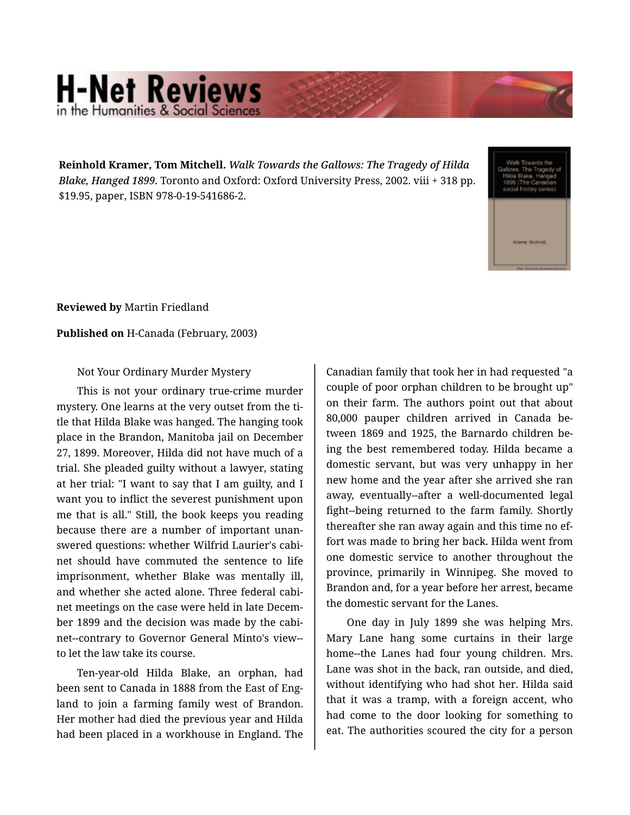## **H-Net Reviews** in the Humanities & Social Scie

**Reinhold Kramer, Tom Mitchell.** *Walk Towards the Gallows: The Tragedy of Hilda Blake, Hanged 1899.* Toronto and Oxford: Oxford University Press, 2002. viii + 318 pp. \$19.95, paper, ISBN 978-0-19-541686-2.

**Reviewed by** Martin Friedland

**Published on** H-Canada (February, 2003)

Not Your Ordinary Murder Mystery

This is not your ordinary true-crime murder mystery. One learns at the very outset from the ti‐ tle that Hilda Blake was hanged. The hanging took place in the Brandon, Manitoba jail on December 27, 1899. Moreover, Hilda did not have much of a trial. She pleaded guilty without a lawyer, stating at her trial: "I want to say that I am guilty, and I want you to inflict the severest punishment upon me that is all." Still, the book keeps you reading because there are a number of important unan‐ swered questions: whether Wilfrid Laurier's cabi‐ net should have commuted the sentence to life imprisonment, whether Blake was mentally ill, and whether she acted alone. Three federal cabi‐ net meetings on the case were held in late Decem‐ ber 1899 and the decision was made by the cabinet--contrary to Governor General Minto's view- to let the law take its course.

Ten-year-old Hilda Blake, an orphan, had been sent to Canada in 1888 from the East of Eng‐ land to join a farming family west of Brandon. Her mother had died the previous year and Hilda had been placed in a workhouse in England. The

Canadian family that took her in had requested "a couple of poor orphan children to be brought up" on their farm. The authors point out that about 80,000 pauper children arrived in Canada be‐ tween 1869 and 1925, the Barnardo children be‐ ing the best remembered today. Hilda became a domestic servant, but was very unhappy in her new home and the year after she arrived she ran away, eventually--after a well-documented legal fight--being returned to the farm family. Shortly thereafter she ran away again and this time no ef‐ fort was made to bring her back. Hilda went from one domestic service to another throughout the province, primarily in Winnipeg. She moved to Brandon and, for a year before her arrest, became the domestic servant for the Lanes.

One day in July 1899 she was helping Mrs. Mary Lane hang some curtains in their large home--the Lanes had four young children. Mrs. Lane was shot in the back, ran outside, and died, without identifying who had shot her. Hilda said that it was a tramp, with a foreign accent, who had come to the door looking for something to eat. The authorities scoured the city for a person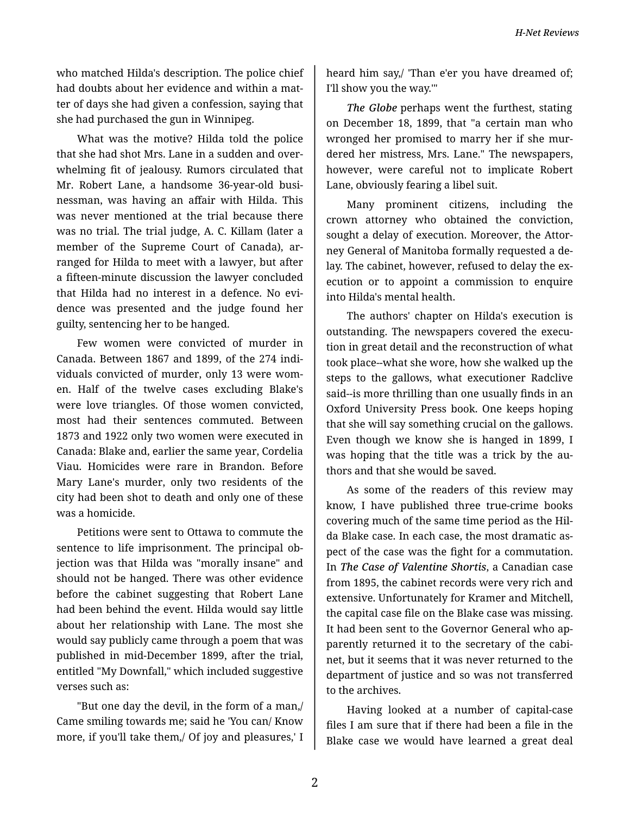who matched Hilda's description. The police chief had doubts about her evidence and within a mat‐ ter of days she had given a confession, saying that she had purchased the gun in Winnipeg.

What was the motive? Hilda told the police that she had shot Mrs. Lane in a sudden and over‐ whelming fit of jealousy. Rumors circulated that Mr. Robert Lane, a handsome 36-year-old busi‐ nessman, was having an affair with Hilda. This was never mentioned at the trial because there was no trial. The trial judge, A. C. Killam (later a member of the Supreme Court of Canada), arranged for Hilda to meet with a lawyer, but after a fifteen-minute discussion the lawyer concluded that Hilda had no interest in a defence. No evi‐ dence was presented and the judge found her guilty, sentencing her to be hanged.

Few women were convicted of murder in Canada. Between 1867 and 1899, of the 274 indi‐ viduals convicted of murder, only 13 were wom‐ en. Half of the twelve cases excluding Blake's were love triangles. Of those women convicted, most had their sentences commuted. Between 1873 and 1922 only two women were executed in Canada: Blake and, earlier the same year, Cordelia Viau. Homicides were rare in Brandon. Before Mary Lane's murder, only two residents of the city had been shot to death and only one of these was a homicide.

Petitions were sent to Ottawa to commute the sentence to life imprisonment. The principal ob‐ jection was that Hilda was "morally insane" and should not be hanged. There was other evidence before the cabinet suggesting that Robert Lane had been behind the event. Hilda would say little about her relationship with Lane. The most she would say publicly came through a poem that was published in mid-December 1899, after the trial, entitled "My Downfall," which included suggestive verses such as:

"But one day the devil, in the form of a man,/ Came smiling towards me; said he 'You can/ Know more, if you'll take them,/ Of joy and pleasures,' I

heard him say,/ 'Than e'er you have dreamed of; I'll show you the way.'"

*The Globe* perhaps went the furthest, stating on December 18, 1899, that "a certain man who wronged her promised to marry her if she mur‐ dered her mistress, Mrs. Lane." The newspapers, however, were careful not to implicate Robert Lane, obviously fearing a libel suit.

Many prominent citizens, including the crown attorney who obtained the conviction, sought a delay of execution. Moreover, the Attorney General of Manitoba formally requested a de‐ lay. The cabinet, however, refused to delay the execution or to appoint a commission to enquire into Hilda's mental health.

The authors' chapter on Hilda's execution is outstanding. The newspapers covered the execu‐ tion in great detail and the reconstruction of what took place--what she wore, how she walked up the steps to the gallows, what executioner Radclive said--is more thrilling than one usually finds in an Oxford University Press book. One keeps hoping that she will say something crucial on the gallows. Even though we know she is hanged in 1899, I was hoping that the title was a trick by the authors and that she would be saved.

As some of the readers of this review may know, I have published three true-crime books covering much of the same time period as the Hil‐ da Blake case. In each case, the most dramatic as‐ pect of the case was the fight for a commutation. In *The Case of Valentine Shortis*, a Canadian case from 1895, the cabinet records were very rich and extensive. Unfortunately for Kramer and Mitchell, the capital case file on the Blake case was missing. It had been sent to the Governor General who ap‐ parently returned it to the secretary of the cabi‐ net, but it seems that it was never returned to the department of justice and so was not transferred to the archives.

Having looked at a number of capital-case files I am sure that if there had been a file in the Blake case we would have learned a great deal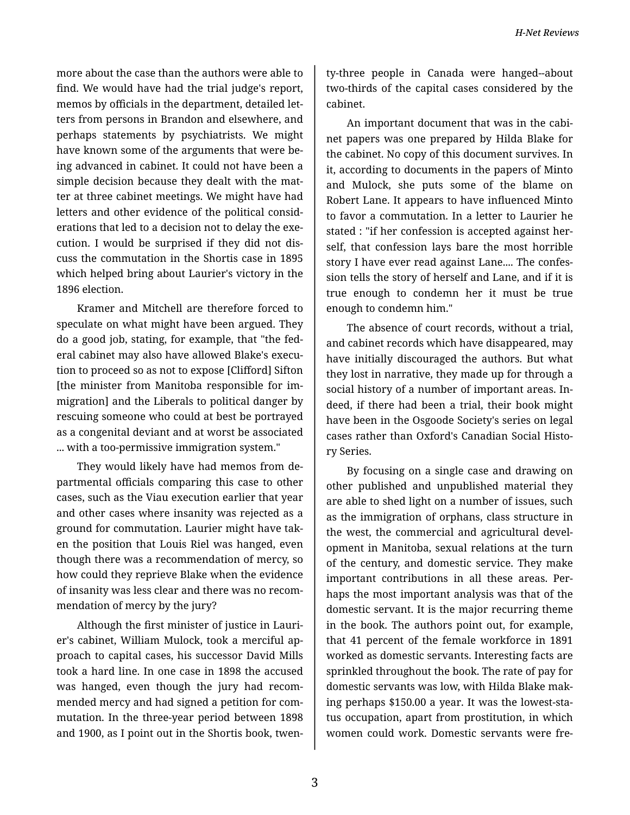more about the case than the authors were able to find. We would have had the trial judge's report, memos by officials in the department, detailed let‐ ters from persons in Brandon and elsewhere, and perhaps statements by psychiatrists. We might have known some of the arguments that were be‐ ing advanced in cabinet. It could not have been a simple decision because they dealt with the matter at three cabinet meetings. We might have had letters and other evidence of the political consid‐ erations that led to a decision not to delay the exe‐ cution. I would be surprised if they did not dis‐ cuss the commutation in the Shortis case in 1895 which helped bring about Laurier's victory in the 1896 election.

Kramer and Mitchell are therefore forced to speculate on what might have been argued. They do a good job, stating, for example, that "the fed‐ eral cabinet may also have allowed Blake's execu‐ tion to proceed so as not to expose [Clifford] Sifton [the minister from Manitoba responsible for im‐ migration] and the Liberals to political danger by rescuing someone who could at best be portrayed as a congenital deviant and at worst be associated ... with a too-permissive immigration system."

They would likely have had memos from de‐ partmental officials comparing this case to other cases, such as the Viau execution earlier that year and other cases where insanity was rejected as a ground for commutation. Laurier might have tak‐ en the position that Louis Riel was hanged, even though there was a recommendation of mercy, so how could they reprieve Blake when the evidence of insanity was less clear and there was no recom‐ mendation of mercy by the jury?

Although the first minister of justice in Lauri‐ er's cabinet, William Mulock, took a merciful ap‐ proach to capital cases, his successor David Mills took a hard line. In one case in 1898 the accused was hanged, even though the jury had recom‐ mended mercy and had signed a petition for com‐ mutation. In the three-year period between 1898 and 1900, as I point out in the Shortis book, twen‐

ty-three people in Canada were hanged--about two-thirds of the capital cases considered by the cabinet.

An important document that was in the cabi‐ net papers was one prepared by Hilda Blake for the cabinet. No copy of this document survives. In it, according to documents in the papers of Minto and Mulock, she puts some of the blame on Robert Lane. It appears to have influenced Minto to favor a commutation. In a letter to Laurier he stated : "if her confession is accepted against her‐ self, that confession lays bare the most horrible story I have ever read against Lane.... The confes‐ sion tells the story of herself and Lane, and if it is true enough to condemn her it must be true enough to condemn him."

The absence of court records, without a trial, and cabinet records which have disappeared, may have initially discouraged the authors. But what they lost in narrative, they made up for through a social history of a number of important areas. In‐ deed, if there had been a trial, their book might have been in the Osgoode Society's series on legal cases rather than Oxford's Canadian Social Histo‐ ry Series.

By focusing on a single case and drawing on other published and unpublished material they are able to shed light on a number of issues, such as the immigration of orphans, class structure in the west, the commercial and agricultural devel‐ opment in Manitoba, sexual relations at the turn of the century, and domestic service. They make important contributions in all these areas. Perhaps the most important analysis was that of the domestic servant. It is the major recurring theme in the book. The authors point out, for example, that 41 percent of the female workforce in 1891 worked as domestic servants. Interesting facts are sprinkled throughout the book. The rate of pay for domestic servants was low, with Hilda Blake mak‐ ing perhaps \$150.00 a year. It was the lowest-sta‐ tus occupation, apart from prostitution, in which women could work. Domestic servants were fre‐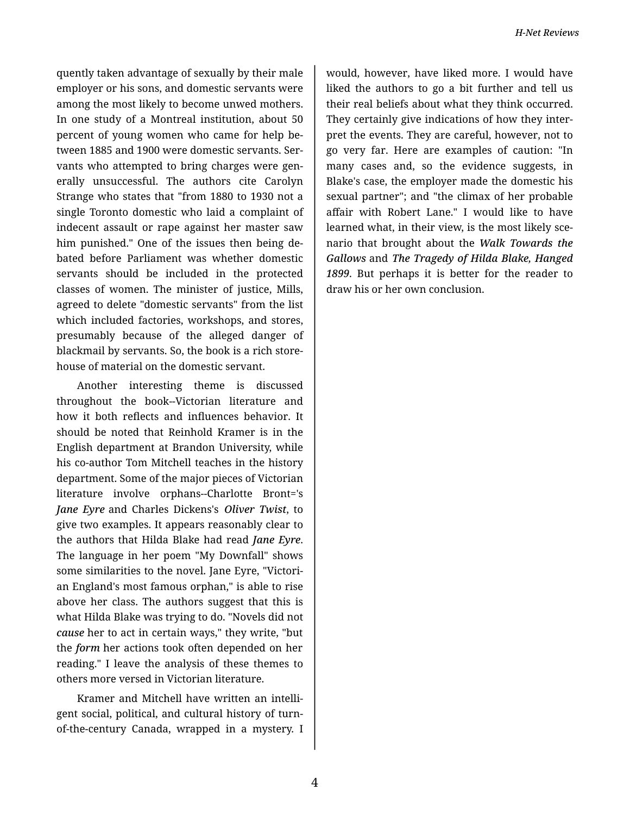quently taken advantage of sexually by their male employer or his sons, and domestic servants were among the most likely to become unwed mothers. In one study of a Montreal institution, about 50 percent of young women who came for help be‐ tween 1885 and 1900 were domestic servants. Ser‐ vants who attempted to bring charges were gen‐ erally unsuccessful. The authors cite Carolyn Strange who states that "from 1880 to 1930 not a single Toronto domestic who laid a complaint of indecent assault or rape against her master saw him punished." One of the issues then being de‐ bated before Parliament was whether domestic servants should be included in the protected classes of women. The minister of justice, Mills, agreed to delete "domestic servants" from the list which included factories, workshops, and stores, presumably because of the alleged danger of blackmail by servants. So, the book is a rich store‐ house of material on the domestic servant.

Another interesting theme is discussed throughout the book--Victorian literature and how it both reflects and influences behavior. It should be noted that Reinhold Kramer is in the English department at Brandon University, while his co-author Tom Mitchell teaches in the history department. Some of the major pieces of Victorian literature involve orphans--Charlotte Bront='s *Jane Eyre* and Charles Dickens's *Oliver Twist*, to give two examples. It appears reasonably clear to the authors that Hilda Blake had read *Jane Eyre*. The language in her poem "My Downfall" shows some similarities to the novel. Jane Eyre, "Victori‐ an England's most famous orphan," is able to rise above her class. The authors suggest that this is what Hilda Blake was trying to do. "Novels did not *cause* her to act in certain ways," they write, "but the *form* her actions took often depended on her reading." I leave the analysis of these themes to others more versed in Victorian literature.

Kramer and Mitchell have written an intelli‐ gent social, political, and cultural history of turnof-the-century Canada, wrapped in a mystery. I

would, however, have liked more. I would have liked the authors to go a bit further and tell us their real beliefs about what they think occurred. They certainly give indications of how they inter‐ pret the events. They are careful, however, not to go very far. Here are examples of caution: "In many cases and, so the evidence suggests, in Blake's case, the employer made the domestic his sexual partner"; and "the climax of her probable affair with Robert Lane." I would like to have learned what, in their view, is the most likely sce‐ nario that brought about the *Walk Towards the Gallows* and *The Tragedy of Hilda Blake, Hanged 1899*. But perhaps it is better for the reader to draw his or her own conclusion.